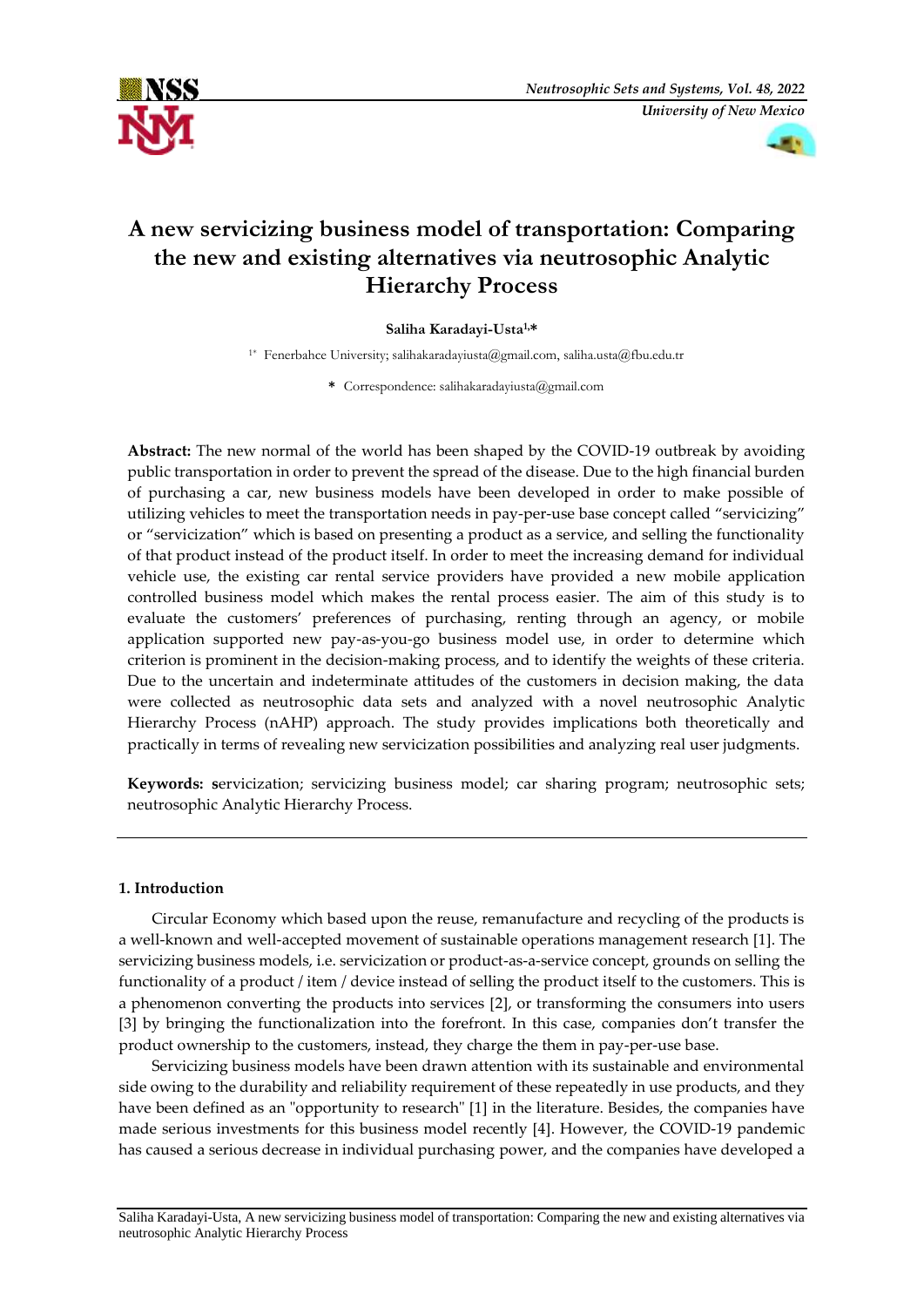



# **A new servicizing business model of transportation: Comparing the new and existing alternatives via neutrosophic Analytic Hierarchy Process**

# **Saliha Karadayi-Usta1,\***

1\* Fenerbahce University; [salihakaradayiusta@gmail.com,](mailto:salihakaradayiusta@gmail.com) [saliha.usta@fbu.edu.tr](mailto:saliha.usta@fbu.edu.tr)

**\*** Correspondence[: salihakaradayiusta@gmail.com](mailto:salihakaradayiusta@gmail.com)

**Abstract:** The new normal of the world has been shaped by the COVID-19 outbreak by avoiding public transportation in order to prevent the spread of the disease. Due to the high financial burden of purchasing a car, new business models have been developed in order to make possible of utilizing vehicles to meet the transportation needs in pay-per-use base concept called "servicizing" or "servicization" which is based on presenting a product as a service, and selling the functionality of that product instead of the product itself. In order to meet the increasing demand for individual vehicle use, the existing car rental service providers have provided a new mobile application controlled business model which makes the rental process easier. The aim of this study is to evaluate the customers' preferences of purchasing, renting through an agency, or mobile application supported new pay-as-you-go business model use, in order to determine which criterion is prominent in the decision-making process, and to identify the weights of these criteria. Due to the uncertain and indeterminate attitudes of the customers in decision making, the data were collected as neutrosophic data sets and analyzed with a novel neutrosophic Analytic Hierarchy Process (nAHP) approach. The study provides implications both theoretically and practically in terms of revealing new servicization possibilities and analyzing real user judgments.

**Keywords: s**ervicization; servicizing business model; car sharing program; neutrosophic sets; neutrosophic Analytic Hierarchy Process.

# **1. Introduction**

Circular Economy which based upon the reuse, remanufacture and recycling of the products is a well-known and well-accepted movement of sustainable operations management research [1]. The servicizing business models, i.e. servicization or product-as-a-service concept, grounds on selling the functionality of a product / item / device instead of selling the product itself to the customers. This is a phenomenon converting the products into services [2], or transforming the consumers into users [3] by bringing the functionalization into the forefront. In this case, companies don't transfer the product ownership to the customers, instead, they charge the them in pay-per-use base.

Servicizing business models have been drawn attention with its sustainable and environmental side owing to the durability and reliability requirement of these repeatedly in use products, and they have been defined as an "opportunity to research" [1] in the literature. Besides, the companies have made serious investments for this business model recently [4]. However, the COVID-19 pandemic has caused a serious decrease in individual purchasing power, and the companies have developed a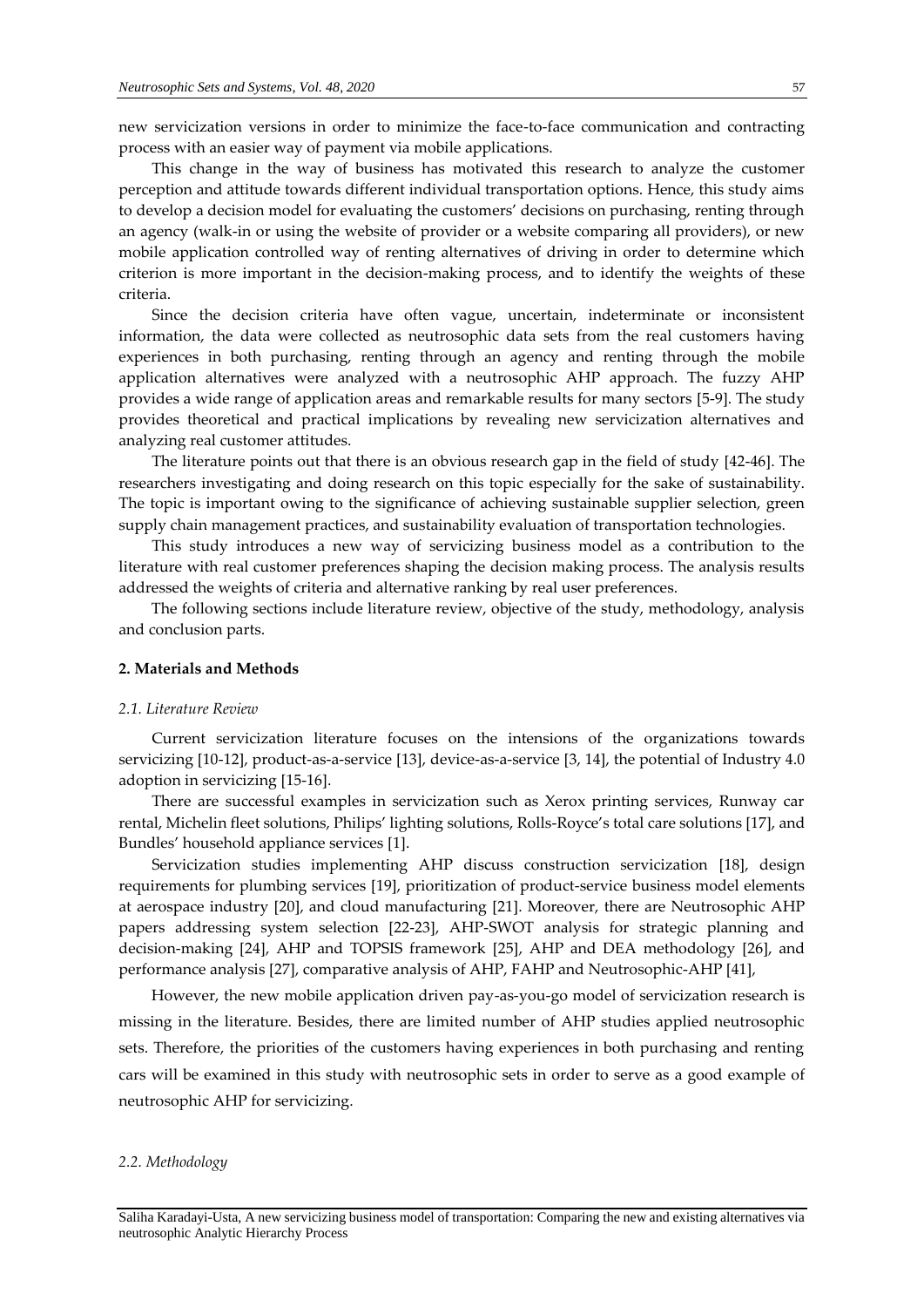new servicization versions in order to minimize the face-to-face communication and contracting process with an easier way of payment via mobile applications.

This change in the way of business has motivated this research to analyze the customer perception and attitude towards different individual transportation options. Hence, this study aims to develop a decision model for evaluating the customers' decisions on purchasing, renting through an agency (walk-in or using the website of provider or a website comparing all providers), or new mobile application controlled way of renting alternatives of driving in order to determine which criterion is more important in the decision-making process, and to identify the weights of these criteria.

Since the decision criteria have often vague, uncertain, indeterminate or inconsistent information, the data were collected as neutrosophic data sets from the real customers having experiences in both purchasing, renting through an agency and renting through the mobile application alternatives were analyzed with a neutrosophic AHP approach. The fuzzy AHP provides a wide range of application areas and remarkable results for many sectors [5-9]. The study provides theoretical and practical implications by revealing new servicization alternatives and analyzing real customer attitudes.

The literature points out that there is an obvious research gap in the field of study [42-46]. The researchers investigating and doing research on this topic especially for the sake of sustainability. The topic is important owing to the significance of achieving sustainable supplier selection, green supply chain management practices, and sustainability evaluation of transportation technologies.

This study introduces a new way of servicizing business model as a contribution to the literature with real customer preferences shaping the decision making process. The analysis results addressed the weights of criteria and alternative ranking by real user preferences.

The following sections include literature review, objective of the study, methodology, analysis and conclusion parts.

# **2. Materials and Methods**

## *2.1. Literature Review*

Current servicization literature focuses on the intensions of the organizations towards servicizing [10-12], product-as-a-service [13], device-as-a-service [3, 14], the potential of Industry 4.0 adoption in servicizing [15-16].

There are successful examples in servicization such as Xerox printing services, Runway car rental, Michelin fleet solutions, Philips' lighting solutions, Rolls-Royce's total care solutions [17], and Bundles' household appliance services [1].

Servicization studies implementing AHP discuss construction servicization [18], design requirements for plumbing services [19], prioritization of product-service business model elements at aerospace industry [20], and cloud manufacturing [21]. Moreover, there are Neutrosophic AHP papers addressing system selection [22-23], AHP-SWOT analysis for strategic planning and decision-making [24], AHP and TOPSIS framework [25], AHP and DEA methodology [26], and performance analysis [27], comparative analysis of AHP, FAHP and Neutrosophic-AHP [41],

However, the new mobile application driven pay-as-you-go model of servicization research is missing in the literature. Besides, there are limited number of AHP studies applied neutrosophic sets. Therefore, the priorities of the customers having experiences in both purchasing and renting cars will be examined in this study with neutrosophic sets in order to serve as a good example of neutrosophic AHP for servicizing.

# *2.2. Methodology*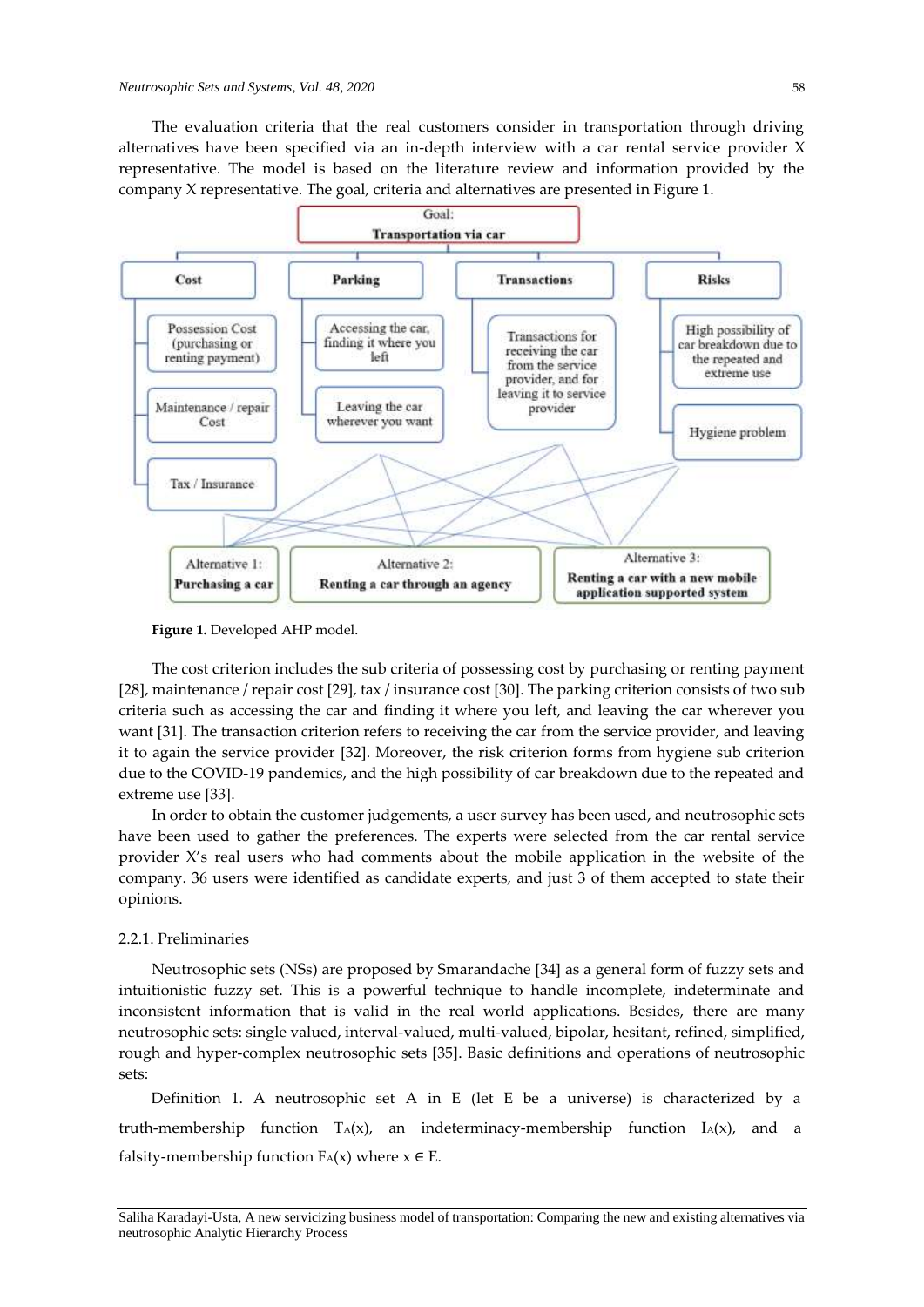The evaluation criteria that the real customers consider in transportation through driving alternatives have been specified via an in-depth interview with a car rental service provider X representative. The model is based on the literature review and information provided by the company X representative. The goal, criteria and alternatives are presented in Figure 1.



**Figure 1.** Developed AHP model.

The cost criterion includes the sub criteria of possessing cost by purchasing or renting payment [28], maintenance / repair cost [29], tax / insurance cost [30]. The parking criterion consists of two sub criteria such as accessing the car and finding it where you left, and leaving the car wherever you want [31]. The transaction criterion refers to receiving the car from the service provider, and leaving it to again the service provider [32]. Moreover, the risk criterion forms from hygiene sub criterion due to the COVID-19 pandemics, and the high possibility of car breakdown due to the repeated and extreme use [33].

In order to obtain the customer judgements, a user survey has been used, and neutrosophic sets have been used to gather the preferences. The experts were selected from the car rental service provider X's real users who had comments about the mobile application in the website of the company. 36 users were identified as candidate experts, and just 3 of them accepted to state their opinions.

#### 2.2.1. Preliminaries

Neutrosophic sets (NSs) are proposed by Smarandache [34] as a general form of fuzzy sets and intuitionistic fuzzy set. This is a powerful technique to handle incomplete, indeterminate and inconsistent information that is valid in the real world applications. Besides, there are many neutrosophic sets: single valued, interval-valued, multi-valued, bipolar, hesitant, refined, simplified, rough and hyper-complex neutrosophic sets [35]. Basic definitions and operations of neutrosophic sets:

Definition 1. A neutrosophic set A in E (let E be a universe) is characterized by a truth-membership function  $T_A(x)$ , an indeterminacy-membership function  $I_A(x)$ , and a falsity-membership function  $F_A(x)$  where  $x \in E$ .

Saliha Karadayi-Usta, A new servicizing business model of transportation: Comparing the new and existing alternatives via neutrosophic Analytic Hierarchy Process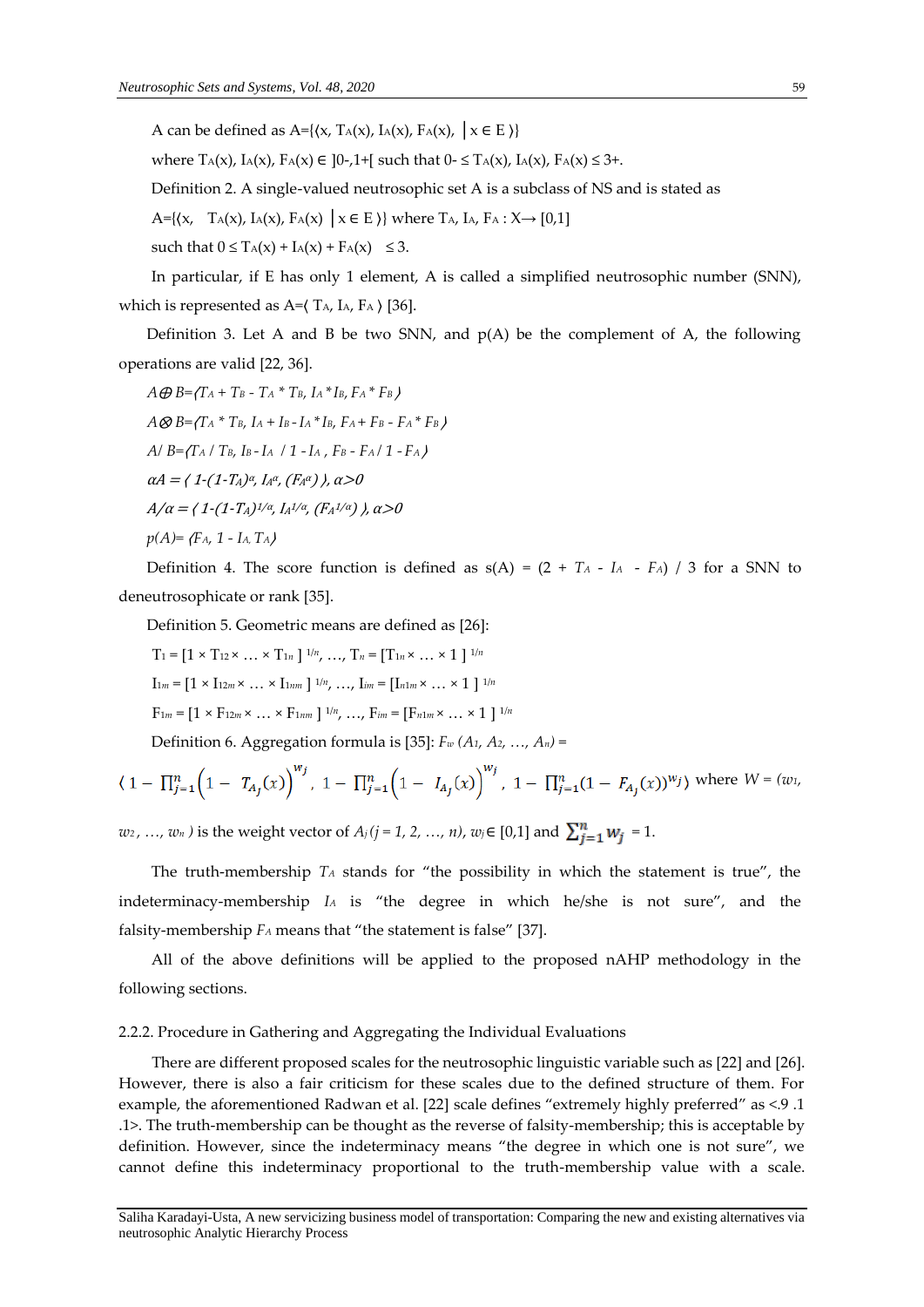A can be defined as A= $\{ \langle x, T_A(x), I_A(x), F_A(x), \mid x \in E \rangle \}$ 

where  $T_A(x)$ ,  $I_A(x)$ ,  $F_A(x) \in [0,1+1]$  such that  $0 \leq T_A(x)$ ,  $I_A(x)$ ,  $F_A(x) \leq 3+$ .

Definition 2. A single-valued neutrosophic set A is a subclass of NS and is stated as

A={ $\{x, T_A(x), I_A(x), F_A(x) | x \in E \}$ } where  $T_A$ ,  $I_A$ ,  $F_A : X \rightarrow [0,1]$ 

such that  $0 \leq T_A(x) + I_A(x) + F_A(x) \leq 3$ .

In particular, if E has only 1 element, A is called a simplified neutrosophic number (SNN), which is represented as  $A = \langle T_A, I_A, F_A \rangle$  [36].

Definition 3. Let A and B be two SNN, and  $p(A)$  be the complement of A, the following operations are valid [22, 36].

 $A \oplus B = \{ T_A + T_B - T_A \cdot T_B, I_A \cdot I_B, F_A \cdot F_B \}$  $A \otimes B = \prod_{A} A^* T_B$ ,  $I_A + I_B - I_A * I_B$ ,  $F_A + F_B - F_A * F_B$ *A/ B=*〈*T<sup>A</sup> / TB, IB -IA / 1 -I<sup>A</sup> , F<sup>B</sup> - FA / 1 - FA* 〉  $\alpha A = (1 - (1 - T_A)^{\alpha}, I_A^{\alpha}, (F_A^{\alpha})\,)$ ,  $\alpha > 0$  $A/\alpha =$  ( 1-(1-T<sub>A</sub>) $^{1/\alpha}$ , I<sub>A</sub> $^{1/\alpha}$ , (F<sub>A</sub> $^{1/\alpha}$ ) ),  $\alpha$ >0  $p(A) = \{F_A, 1 - I_A, T_A\}$ 

Definition 4. The score function is defined as  $s(A) = (2 + T_A - I_A - F_A) / 3$  for a SNN to deneutrosophicate or rank [35].

Definition 5. Geometric means are defined as [26]:

 $T_1 = [1 \times T_{12} \times ... \times T_{1n}]^{1/n}, ..., T_n = [T_{1n} \times ... \times 1]^{1/n}$  $I_{1m} = [1 \times I_{12m} \times ... \times I_{1nm}]^{1/n}, ..., I_{im} = [I_{n1m} \times ... \times 1]^{1/n}$  $F_{1m} = [1 \times F_{12m} \times ... \times F_{1nm}]^{1/n}, ..., F_{im} = [F_{n1m} \times ... \times 1]^{1/n}$ 

Definition 6. Aggregation formula is [35]:  $F_w(A_1, A_2, ..., A_n)$  =

$$
\langle 1 - \prod_{j=1}^n \left(1 - T_{A_j}(x)\right)^{w_j}, 1 - \prod_{j=1}^n \left(1 - I_{A_j}(x)\right)^{w_j}, 1 - \prod_{j=1}^n (1 - F_{A_j}(x))^{w_j} \rangle \text{ where } W = (w_1, w_2, w_3, w_4, w_5, w_6, w_7, w_8, w_9, w_{10}, w_{11}, w_{12}, w_{13}, w_{14}, w_{15}, w_{16}, w_{17}, w_{18}, w_{19}, w_{10}, w_{11}, w_{12}, w_{13}, w_{14}, w_{15}, w_{16}, w_{17}, w_{18}, w_{19}, w_{10}, w_{11}, w_{12}, w_{13}, w_{14}, w_{15}, w_{16}, w_{17}, w_{18}, w_{19}, w_{10}, w_{11}, w_{12}, w_{13}, w_{14}, w_{15}, w_{16}, w_{17}, w_{18}, w_{19}, w_{10}, w_{11}, w_{12}, w_{13}, w_{14}, w_{15}, w_{16}, w_{17}, w_{18}, w_{19}, w_{10}, w_{11}, w_{12}, w_{13}, w_{14}, w_{15}, w_{16}, w_{17}, w_{18}, w_{19}, w_{10}, w_{11}, w_{12}, w_{13}, w_{14}, w_{15}, w_{16}, w_{17}, w_{18}, w_{19}, w_{10}, w_{11}, w_{12}, w_{13}, w_{14}, w_{15}, w_{16}, w_{17}, w_{18}, w_{19}, w_{10}, w_{11}, w_{12}, w_{13}, w_{14}, w_{15}, w_{16}, w_{17}, w_{18}, w_{19}, w_{10}, w_{11}, w_{12}, w_{13}, w_{14}, w_{16}, w_{17}, w_{18}, w_{19}, w_{10}, w_{11}, w_{12}, w_{13}, w_{14}, w_{16}, w_{17}, w_{18}, w_{19}, w_{10}, w_{11}, w_{12}, w_{13}, w_{14}, w_{15}, w_{16}, w_{17}, w_{18}, w_{19}, w_{10}, w_{11}, w_{12}, w_{13}, w_{14}, w_{15}, w_{16}, w
$$

*w*<sub>2</sub>, …, *w*<sub>n</sub> ) is the weight vector of  $A_j$  ( $j = 1, 2, ..., n$ ),  $w_j \in [0,1]$  and  $\sum_{j=1}^{n} w_j = 1$ .

The truth-membership *T<sup>A</sup>* stands for "the possibility in which the statement is true", the indeterminacy-membership *I<sup>A</sup>* is "the degree in which he/she is not sure", and the falsity-membership *F<sup>A</sup>* means that "the statement is false" [37].

All of the above definitions will be applied to the proposed nAHP methodology in the following sections.

## 2.2.2. Procedure in Gathering and Aggregating the Individual Evaluations

There are different proposed scales for the neutrosophic linguistic variable such as [22] and [26]. However, there is also a fair criticism for these scales due to the defined structure of them. For example, the aforementioned Radwan et al. [22] scale defines "extremely highly preferred" as <.9.1 .1>. The truth-membership can be thought as the reverse of falsity-membership; this is acceptable by definition. However, since the indeterminacy means "the degree in which one is not sure", we cannot define this indeterminacy proportional to the truth-membership value with a scale.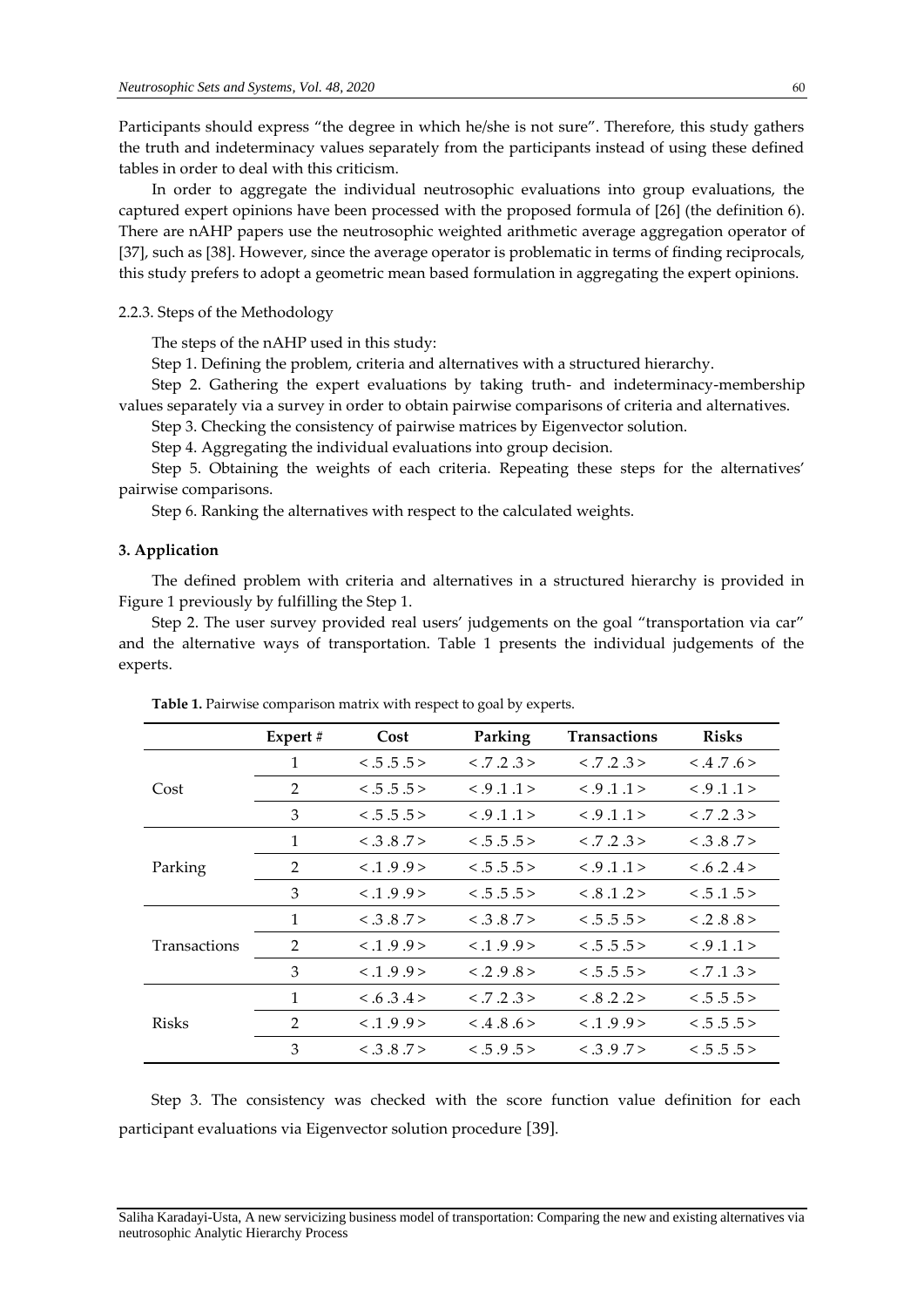Participants should express "the degree in which he/she is not sure". Therefore, this study gathers the truth and indeterminacy values separately from the participants instead of using these defined tables in order to deal with this criticism.

In order to aggregate the individual neutrosophic evaluations into group evaluations, the captured expert opinions have been processed with the proposed formula of [26] (the definition 6). There are nAHP papers use the neutrosophic weighted arithmetic average aggregation operator of [37], such as [38]. However, since the average operator is problematic in terms of finding reciprocals, this study prefers to adopt a geometric mean based formulation in aggregating the expert opinions.

2.2.3. Steps of the Methodology

The steps of the nAHP used in this study:

Step 1. Defining the problem, criteria and alternatives with a structured hierarchy.

Step 2. Gathering the expert evaluations by taking truth- and indeterminacy-membership values separately via a survey in order to obtain pairwise comparisons of criteria and alternatives.

Step 3. Checking the consistency of pairwise matrices by Eigenvector solution.

Step 4. Aggregating the individual evaluations into group decision.

Step 5. Obtaining the weights of each criteria. Repeating these steps for the alternatives' pairwise comparisons.

Step 6. Ranking the alternatives with respect to the calculated weights.

## **3. Application**

The defined problem with criteria and alternatives in a structured hierarchy is provided in Figure 1 previously by fulfilling the Step 1.

Step 2. The user survey provided real users' judgements on the goal "transportation via car" and the alternative ways of transportation. Table 1 presents the individual judgements of the experts.

|                     | Expert $#$ | Cost      | Parking   | <b>Transactions</b> | <b>Risks</b>     |  |
|---------------------|------------|-----------|-----------|---------------------|------------------|--|
| Cost                | 1          | < .5.5.5> | < .7.2.3> | < .7.2.3>           | $< 0.4$ .7.6 $>$ |  |
|                     | 2          | < .5.5.5> | < .9.1.1> | < .9.1.1>           | < .9.1.1>        |  |
|                     | 3          | < .5.5.5> | < .9.1.1> | < .9.1.1>           | < .7.2.3>        |  |
| Parking             | 1          | < .3.8.7> | < .5.5.5> | < .7.2.3>           | < .3.8.7>        |  |
|                     | 2          | < 1.9.9>  | < .5.5.5> | < .9.1.1>           | < .6.2.4>        |  |
|                     | 3          | < 1.9.9   | < .5.5.5> | < 8.1.2>            | < .5.1.5>        |  |
| <b>Transactions</b> | 1          | < .3.8.7> | < .3.8.7> | < .5.5.5>           | $< .2$ .8.8 $>$  |  |
|                     | 2          | < 1.9.9>  | < .1.9.9> | < .5.5.5>           | < .9.1.1>        |  |
|                     | 3          | < 1.9.9   | < .2.9.8> | < .5.5.5>           | < .7.1.3>        |  |
| <b>Risks</b>        | 1          | < .6.3.4> | < .7.2.3> | < .8 .2 .2>         | < .5.5.5>        |  |
|                     | 2          | < .1.9.9> | < .4.8.6> | < .1.9.9>           | < .5.5.5 >       |  |
|                     | 3          | < 3.8.7>  | < .5.9.5> | < 3.9.7>            | < .5.5.5>        |  |

**Table 1.** Pairwise comparison matrix with respect to goal by experts.

Step 3. The consistency was checked with the score function value definition for each participant evaluations via Eigenvector solution procedure [39].

Saliha Karadayi-Usta, A new servicizing business model of transportation: Comparing the new and existing alternatives via neutrosophic Analytic Hierarchy Process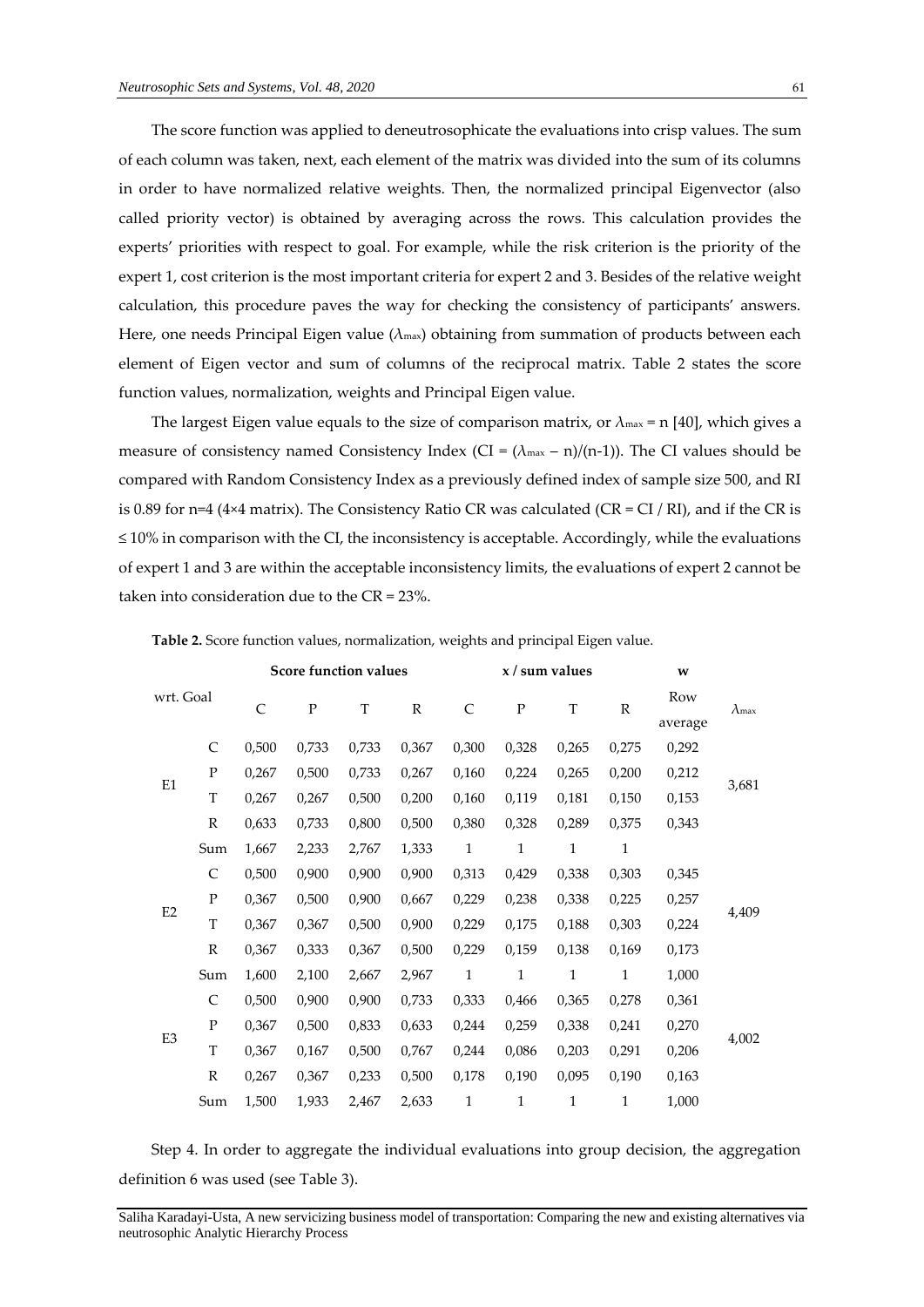The score function was applied to deneutrosophicate the evaluations into crisp values. The sum of each column was taken, next, each element of the matrix was divided into the sum of its columns in order to have normalized relative weights. Then, the normalized principal Eigenvector (also called priority vector) is obtained by averaging across the rows. This calculation provides the experts' priorities with respect to goal. For example, while the risk criterion is the priority of the expert 1, cost criterion is the most important criteria for expert 2 and 3. Besides of the relative weight calculation, this procedure paves the way for checking the consistency of participants' answers. Here, one needs Principal Eigen value ( $\lambda_{\text{max}}$ ) obtaining from summation of products between each element of Eigen vector and sum of columns of the reciprocal matrix. Table 2 states the score function values, normalization, weights and Principal Eigen value.

The largest Eigen value equals to the size of comparison matrix, or  $\lambda_{\text{max}} = n$  [40], which gives a measure of consistency named Consistency Index (CI =  $(\lambda_{\text{max}} - n)/(n-1)$ ). The CI values should be compared with Random Consistency Index as a previously defined index of sample size 500, and RI is 0.89 for n=4 (4×4 matrix). The Consistency Ratio CR was calculated (CR = CI / RI), and if the CR is  $\leq$  10% in comparison with the CI, the inconsistency is acceptable. Accordingly, while the evaluations of expert 1 and 3 are within the acceptable inconsistency limits, the evaluations of expert 2 cannot be taken into consideration due to the CR = 23%.

|                                                                  |              |       | Score function values |             |             |              | x / sum values                                                                                                                                                            |              |              | W     |               |  |
|------------------------------------------------------------------|--------------|-------|-----------------------|-------------|-------------|--------------|---------------------------------------------------------------------------------------------------------------------------------------------------------------------------|--------------|--------------|-------|---------------|--|
| wrt. Goal                                                        |              | C     | ${\bf P}$             | $\mathbf T$ | $\mathbb R$ | $\mathsf{C}$ | ${\bf P}$                                                                                                                                                                 | T            | $\mathbb R$  | Row   | $\lambda$ max |  |
|                                                                  |              |       |                       |             |             |              |                                                                                                                                                                           |              | average      |       |               |  |
|                                                                  | $\mathsf{C}$ | 0,500 | 0,733                 | 0,733       | 0,367       | 0,300        | 0,328                                                                                                                                                                     | 0,265        | 0,275        | 0,292 |               |  |
| E1                                                               | $\mathbf{P}$ | 0,267 | 0,500                 | 0,733       | 0,267       | 0,160        | 0,224                                                                                                                                                                     | 0,265        | 0,200        | 0,212 | 3,681         |  |
|                                                                  | $\mathbf T$  | 0,267 | 0,267                 | 0,500       | 0,200       | 0,160        | 0,119                                                                                                                                                                     | 0,181        | 0,150        | 0,153 |               |  |
|                                                                  | $\mathbb R$  | 0,633 | 0,733                 | 0,800       | 0,500       | 0,380        | 0,328                                                                                                                                                                     | 0,289        | 0,375        | 0,343 |               |  |
|                                                                  | Sum          | 1,667 | 2,233                 | 2,767       | 1,333       | $\mathbf{1}$ | $1\,$                                                                                                                                                                     | $\mathbf{1}$ | $\mathbf{1}$ |       |               |  |
|                                                                  | $\mathsf{C}$ | 0,500 | 0,900                 | 0,900       | 0,900       | 0,313        | 0,429                                                                                                                                                                     | 0,338        | 0,303        | 0,345 |               |  |
|                                                                  | $\mathbf{P}$ | 0,367 | 0,500                 | 0,900       | 0,667       | 0,229        | 0,238<br>0,338<br>0,225<br>0,257<br>0,224<br>0,175<br>0,188<br>0,303<br>0,159<br>0,173<br>0,138<br>0,169<br>$\mathbf 1$<br>$1\,$<br>$\mathbf{1}$<br>$\mathbf{1}$<br>1,000 |              |              |       |               |  |
| E2                                                               | $\mathbf T$  | 0,367 | 0,367                 | 0,500       | 0,900       | 0,229        |                                                                                                                                                                           |              |              |       | 4,409         |  |
|                                                                  | $\mathbb R$  | 0,367 | 0,333                 | 0,367       | 0,500       | 0,229        |                                                                                                                                                                           |              |              |       |               |  |
|                                                                  | Sum          | 1,600 | 2,100                 | 2,667       | 2,967       |              |                                                                                                                                                                           |              |              |       |               |  |
| $\mathsf{C}$<br>$\mathbf{P}$<br>E3<br>$\mathbf T$<br>$\mathbb R$ |              | 0,500 | 0,900                 | 0,900       | 0,733       | 0,333        | 0,466                                                                                                                                                                     | 0,365        | 0,278        | 0,361 |               |  |
|                                                                  | 0,367        | 0,500 | 0,833                 | 0,633       | 0,244       | 0,259        | 0,338                                                                                                                                                                     | 0,241        | 0,270        |       |               |  |
|                                                                  |              | 0,367 | 0,167                 | 0,500       | 0,767       | 0,244        | 0,086                                                                                                                                                                     | 0,203        | 0,291        | 0,206 | 4,002         |  |
|                                                                  |              | 0,267 | 0,367                 | 0,233       | 0,500       | 0,178        | 0,190                                                                                                                                                                     | 0,095        | 0,190        | 0,163 |               |  |
|                                                                  | Sum          | 1,500 | 1,933                 | 2,467       | 2,633       | $\mathbf{1}$ | $\mathbf{1}$                                                                                                                                                              | $\mathbf{1}$ | $\mathbf{1}$ | 1,000 |               |  |
|                                                                  |              |       |                       |             |             |              |                                                                                                                                                                           |              |              |       |               |  |

**Table 2.** Score function values, normalization, weights and principal Eigen value.

Step 4. In order to aggregate the individual evaluations into group decision, the aggregation definition 6 was used (see Table 3).

Saliha Karadayi-Usta, A new servicizing business model of transportation: Comparing the new and existing alternatives via neutrosophic Analytic Hierarchy Process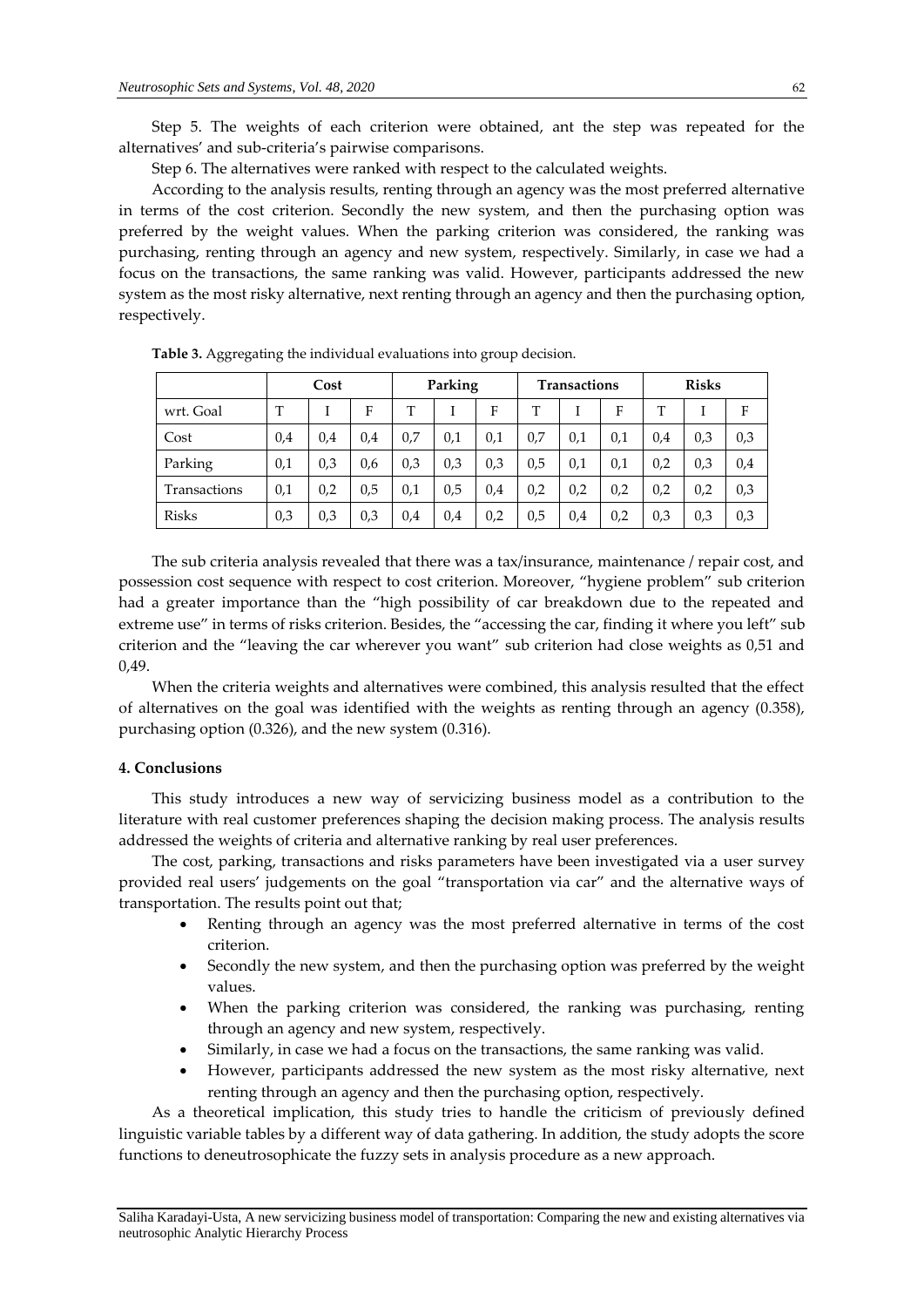Step 5. The weights of each criterion were obtained, ant the step was repeated for the alternatives' and sub-criteria's pairwise comparisons.

Step 6. The alternatives were ranked with respect to the calculated weights.

According to the analysis results, renting through an agency was the most preferred alternative in terms of the cost criterion. Secondly the new system, and then the purchasing option was preferred by the weight values. When the parking criterion was considered, the ranking was purchasing, renting through an agency and new system, respectively. Similarly, in case we had a focus on the transactions, the same ranking was valid. However, participants addressed the new system as the most risky alternative, next renting through an agency and then the purchasing option, respectively.

|              | Cost |     | Parking |     |     | <b>Transactions</b> |     |     | <b>Risks</b> |     |     |     |
|--------------|------|-----|---------|-----|-----|---------------------|-----|-----|--------------|-----|-----|-----|
| wrt. Goal    | T    |     | F       | т   |     | F                   | т   |     | F            | T   |     | F   |
| Cost         | 0,4  | 0,4 | 0,4     | 0,7 | 0,1 | 0,1                 | 0,7 | 0,1 | 0,1          | 0,4 | 0,3 | 0,3 |
| Parking      | 0,1  | 0,3 | 0,6     | 0,3 | 0,3 | 0,3                 | 0,5 | 0,1 | 0,1          | 0,2 | 0,3 | 0,4 |
| Transactions | 0,1  | 0,2 | 0,5     | 0,1 | 0,5 | 0,4                 | 0,2 | 0,2 | 0,2          | 0,2 | 0,2 | 0,3 |
| <b>Risks</b> | 0,3  | 0,3 | 0,3     | 0,4 | 0,4 | 0,2                 | 0,5 | 0,4 | 0,2          | 0,3 | 0,3 | 0,3 |

**Table 3.** Aggregating the individual evaluations into group decision.

The sub criteria analysis revealed that there was a tax/insurance, maintenance / repair cost, and possession cost sequence with respect to cost criterion. Moreover, "hygiene problem" sub criterion had a greater importance than the "high possibility of car breakdown due to the repeated and extreme use" in terms of risks criterion. Besides, the "accessing the car, finding it where you left" sub criterion and the "leaving the car wherever you want" sub criterion had close weights as 0,51 and 0,49.

When the criteria weights and alternatives were combined, this analysis resulted that the effect of alternatives on the goal was identified with the weights as renting through an agency (0.358), purchasing option (0.326), and the new system (0.316).

# **4. Conclusions**

This study introduces a new way of servicizing business model as a contribution to the literature with real customer preferences shaping the decision making process. The analysis results addressed the weights of criteria and alternative ranking by real user preferences.

The cost, parking, transactions and risks parameters have been investigated via a user survey provided real users' judgements on the goal "transportation via car" and the alternative ways of transportation. The results point out that;

- Renting through an agency was the most preferred alternative in terms of the cost criterion.
- Secondly the new system, and then the purchasing option was preferred by the weight values.
- When the parking criterion was considered, the ranking was purchasing, renting through an agency and new system, respectively.
- Similarly, in case we had a focus on the transactions, the same ranking was valid.
- However, participants addressed the new system as the most risky alternative, next renting through an agency and then the purchasing option, respectively.

As a theoretical implication, this study tries to handle the criticism of previously defined linguistic variable tables by a different way of data gathering. In addition, the study adopts the score functions to deneutrosophicate the fuzzy sets in analysis procedure as a new approach.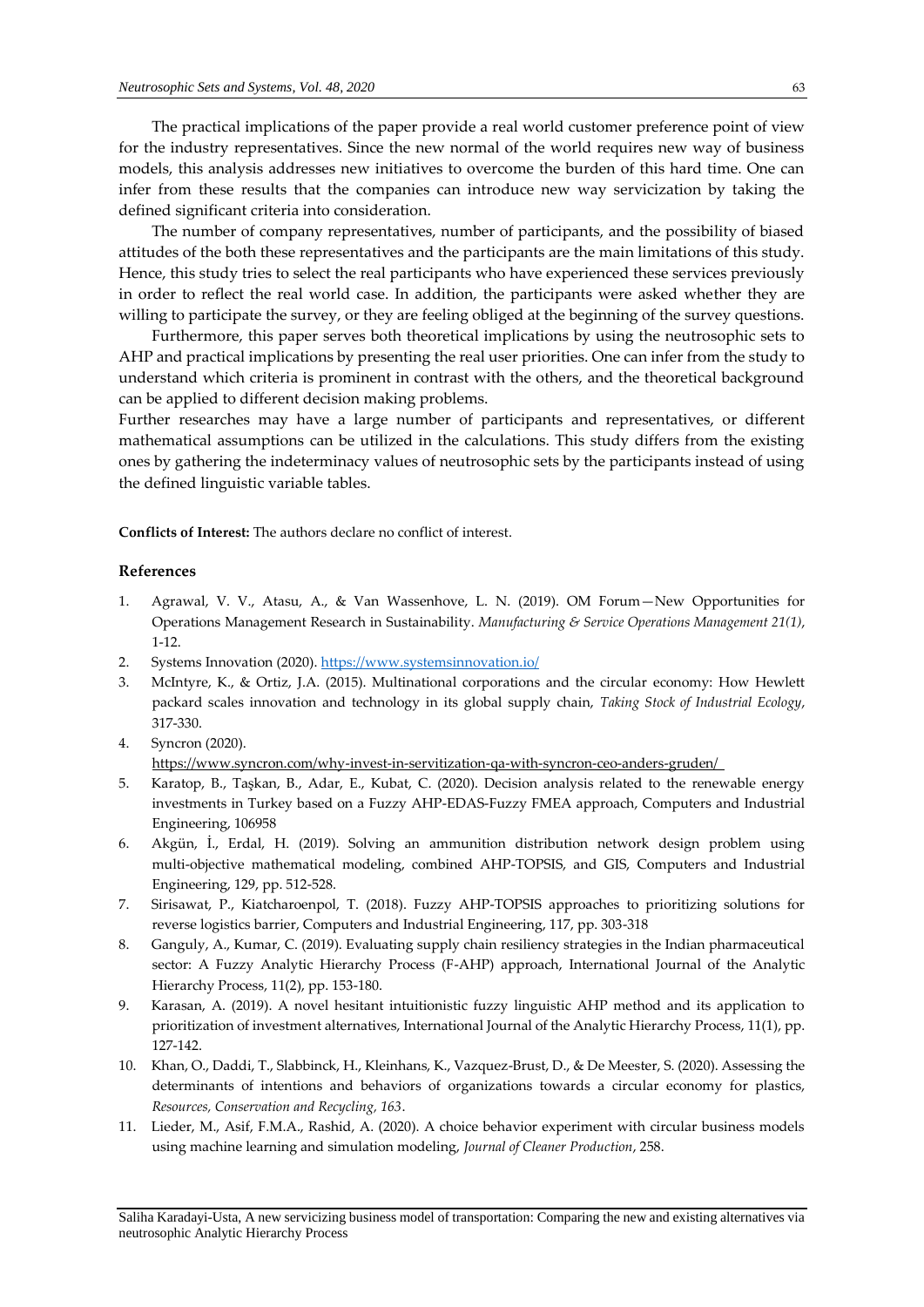The practical implications of the paper provide a real world customer preference point of view for the industry representatives. Since the new normal of the world requires new way of business models, this analysis addresses new initiatives to overcome the burden of this hard time. One can infer from these results that the companies can introduce new way servicization by taking the defined significant criteria into consideration.

The number of company representatives, number of participants, and the possibility of biased attitudes of the both these representatives and the participants are the main limitations of this study. Hence, this study tries to select the real participants who have experienced these services previously in order to reflect the real world case. In addition, the participants were asked whether they are willing to participate the survey, or they are feeling obliged at the beginning of the survey questions.

Furthermore, this paper serves both theoretical implications by using the neutrosophic sets to AHP and practical implications by presenting the real user priorities. One can infer from the study to understand which criteria is prominent in contrast with the others, and the theoretical background can be applied to different decision making problems.

Further researches may have a large number of participants and representatives, or different mathematical assumptions can be utilized in the calculations. This study differs from the existing ones by gathering the indeterminacy values of neutrosophic sets by the participants instead of using the defined linguistic variable tables.

**Conflicts of Interest:** The authors declare no conflict of interest.

# **References**

- 1. Agrawal, V. V., Atasu, A., & Van Wassenhove, L. N. (2019). OM Forum—New Opportunities for Operations Management Research in Sustainability. *Manufacturing & Service Operations Management 21(1)*, 1-12.
- 2. Systems Innovation (2020).<https://www.systemsinnovation.io/>
- 3. McIntyre, K., & Ortiz, J.A. (2015). Multinational corporations and the circular economy: How Hewlett packard scales innovation and technology in its global supply chain, *Taking Stock of Industrial Ecology*, 317-330.
- 4. Syncron (2020).

<https://www.syncron.com/why-invest-in-servitization-qa-with-syncron-ceo-anders-gruden/>

- 5. Karatop, B., Taşkan, B., Adar, E., Kubat, C. (2020). Decision analysis related to the renewable energy investments in Turkey based on a Fuzzy AHP-EDAS-Fuzzy FMEA approach, Computers and Industrial Engineering, 106958
- 6. Akgün, İ., Erdal, H. (2019). Solving an ammunition distribution network design problem using multi-objective mathematical modeling, combined AHP-TOPSIS, and GIS, Computers and Industrial Engineering, 129, pp. 512-528.
- 7. Sirisawat, P., Kiatcharoenpol, T. (2018). Fuzzy AHP-TOPSIS approaches to prioritizing solutions for reverse logistics barrier, Computers and Industrial Engineering, 117, pp. 303-318
- 8. Ganguly, A., Kumar, C. (2019). Evaluating supply chain resiliency strategies in the Indian pharmaceutical sector: A Fuzzy Analytic Hierarchy Process (F-AHP) approach, International Journal of the Analytic Hierarchy Process, 11(2), pp. 153-180.
- 9. Karasan, A. (2019). A novel hesitant intuitionistic fuzzy linguistic AHP method and its application to prioritization of investment alternatives, International Journal of the Analytic Hierarchy Process, 11(1), pp. 127-142.
- 10. Khan, O., Daddi, T., Slabbinck, H., Kleinhans, K., Vazquez-Brust, D., & De Meester, S. (2020). Assessing the determinants of intentions and behaviors of organizations towards a circular economy for plastics, *Resources, Conservation and Recycling, 163*.
- 11. Lieder, M., Asif, F.M.A., Rashid, A. (2020). A choice behavior experiment with circular business models using machine learning and simulation modeling, *Journal of Cleaner Production*, 258.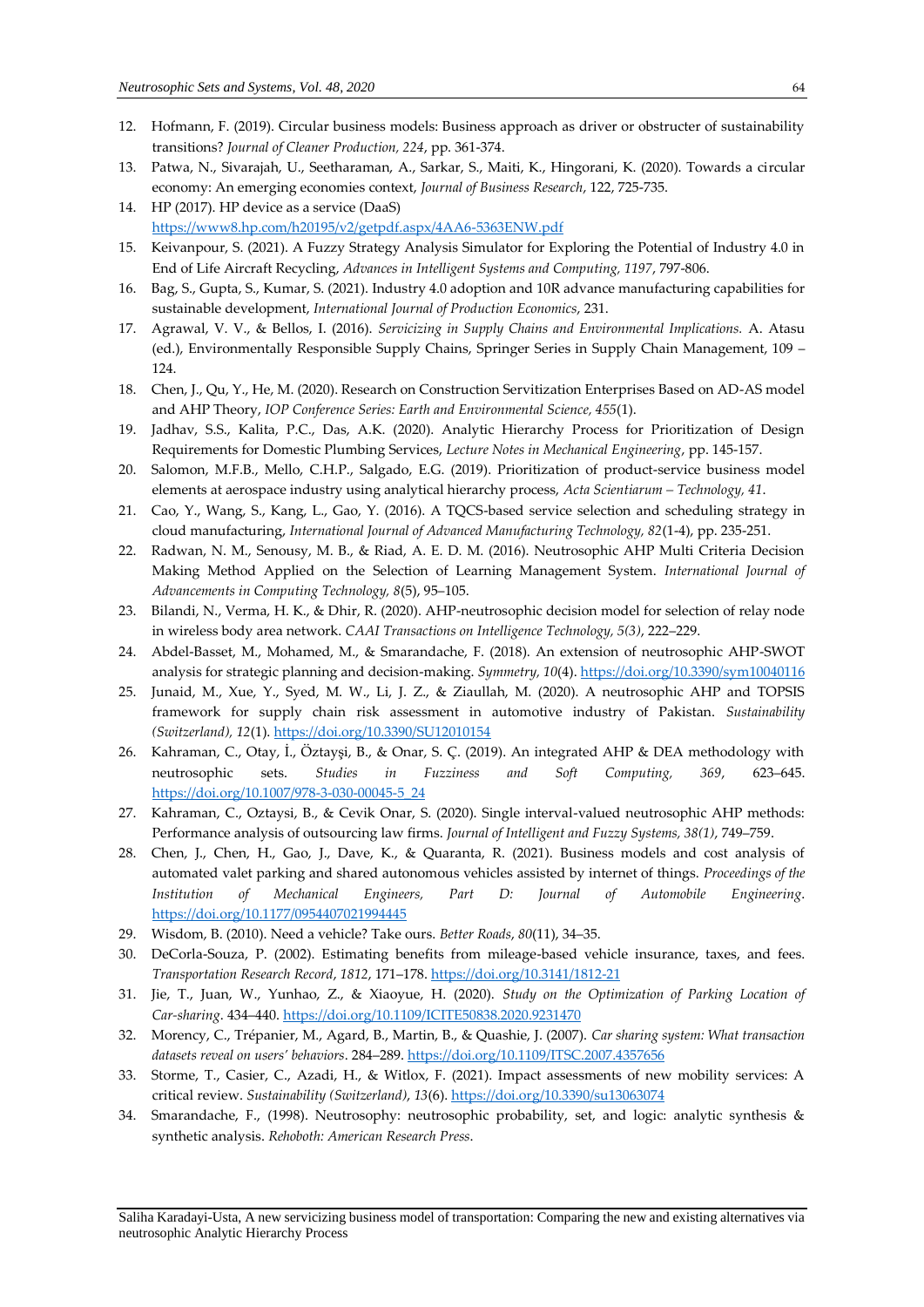- 12. Hofmann, F. (2019). Circular business models: Business approach as driver or obstructer of sustainability transitions? *Journal of Cleaner Production, 224*, pp. 361-374.
- 13. Patwa, N., Sivarajah, U., Seetharaman, A., Sarkar, S., Maiti, K., Hingorani, K. (2020). Towards a circular economy: An emerging economies context, *Journal of Business Research*, 122, 725-735.
- 14. HP (2017). HP device as a service (DaaS) <https://www8.hp.com/h20195/v2/getpdf.aspx/4AA6-5363ENW.pdf>
- 15. Keivanpour, S. (2021). A Fuzzy Strategy Analysis Simulator for Exploring the Potential of Industry 4.0 in End of Life Aircraft Recycling, *Advances in Intelligent Systems and Computing, 1197*, 797-806.
- 16. Bag, S., Gupta, S., Kumar, S. (2021). Industry 4.0 adoption and 10R advance manufacturing capabilities for sustainable development, *International Journal of Production Economics*, 231.
- 17. Agrawal, V. V., & Bellos, I. (2016). *Servicizing in Supply Chains and Environmental Implications.* A. Atasu (ed.), Environmentally Responsible Supply Chains, Springer Series in Supply Chain Management, 109 – 124.
- 18. Chen, J., Qu, Y., He, M. (2020). Research on Construction Servitization Enterprises Based on AD-AS model and AHP Theory, *IOP Conference Series: Earth and Environmental Science, 455*(1).
- 19. Jadhav, S.S., Kalita, P.C., Das, A.K. (2020). Analytic Hierarchy Process for Prioritization of Design Requirements for Domestic Plumbing Services, *Lecture Notes in Mechanical Engineering*, pp. 145-157.
- 20. Salomon, M.F.B., Mello, C.H.P., Salgado, E.G. (2019). Prioritization of product-service business model elements at aerospace industry using analytical hierarchy process, *Acta Scientiarum – Technology, 41*.
- 21. Cao, Y., Wang, S., Kang, L., Gao, Y. (2016). A TQCS-based service selection and scheduling strategy in cloud manufacturing, *International Journal of Advanced Manufacturing Technology, 82*(1-4), pp. 235-251.
- 22. Radwan, N. M., Senousy, M. B., & Riad, A. E. D. M. (2016). Neutrosophic AHP Multi Criteria Decision Making Method Applied on the Selection of Learning Management System. *International Journal of Advancements in Computing Technology, 8*(5), 95–105.
- 23. Bilandi, N., Verma, H. K., & Dhir, R. (2020). AHP-neutrosophic decision model for selection of relay node in wireless body area network. *CAAI Transactions on Intelligence Technology, 5(3)*, 222–229.
- 24. Abdel-Basset, M., Mohamed, M., & Smarandache, F. (2018). An extension of neutrosophic AHP-SWOT analysis for strategic planning and decision-making. *Symmetry, 10*(4)[. https://doi.org/10.3390/sym10040116](https://doi.org/10.3390/sym10040116)
- 25. Junaid, M., Xue, Y., Syed, M. W., Li, J. Z., & Ziaullah, M. (2020). A neutrosophic AHP and TOPSIS framework for supply chain risk assessment in automotive industry of Pakistan. *Sustainability (Switzerland), 12*(1)[. https://doi.org/10.3390/SU12010154](https://doi.org/10.3390/SU12010154)
- 26. Kahraman, C., Otay, İ., Öztayşi, B., & Onar, S. Ç. (2019). An integrated AHP & DEA methodology with neutrosophic sets. *Studies in Fuzziness and Soft Computing, 369*, 623–645. [https://doi.org/10.1007/978-3-030-00045-5\\_24](https://doi.org/10.1007/978-3-030-00045-5_24)
- 27. Kahraman, C., Oztaysi, B., & Cevik Onar, S. (2020). Single interval-valued neutrosophic AHP methods: Performance analysis of outsourcing law firms. *Journal of Intelligent and Fuzzy Systems, 38(1)*, 749–759.
- 28. Chen, J., Chen, H., Gao, J., Dave, K., & Quaranta, R. (2021). Business models and cost analysis of automated valet parking and shared autonomous vehicles assisted by internet of things. *Proceedings of the Institution of Mechanical Engineers, Part D: Journal of Automobile Engineering*. <https://doi.org/10.1177/0954407021994445>
- 29. Wisdom, B. (2010). Need a vehicle? Take ours. *Better Roads*, *80*(11), 34–35.
- 30. DeCorla-Souza, P. (2002). Estimating benefits from mileage-based vehicle insurance, taxes, and fees. *Transportation Research Record*, *1812*, 171–178[. https://doi.org/10.3141/1812-21](https://doi.org/10.3141/1812-21)
- 31. Jie, T., Juan, W., Yunhao, Z., & Xiaoyue, H. (2020). *Study on the Optimization of Parking Location of Car-sharing*. 434–440[. https://doi.org/10.1109/ICITE50838.2020.9231470](https://doi.org/10.1109/ICITE50838.2020.9231470)
- 32. Morency, C., Trépanier, M., Agard, B., Martin, B., & Quashie, J. (2007). *Car sharing system: What transaction datasets reveal on users' behaviors*. 284–289[. https://doi.org/10.1109/ITSC.2007.4357656](https://doi.org/10.1109/ITSC.2007.4357656)
- 33. Storme, T., Casier, C., Azadi, H., & Witlox, F. (2021). Impact assessments of new mobility services: A critical review. *Sustainability (Switzerland)*, *13*(6)[. https://doi.org/10.3390/su13063074](https://doi.org/10.3390/su13063074)
- 34. Smarandache, F., (1998). Neutrosophy: neutrosophic probability, set, and logic: analytic synthesis & synthetic analysis. *Rehoboth: American Research Press*.